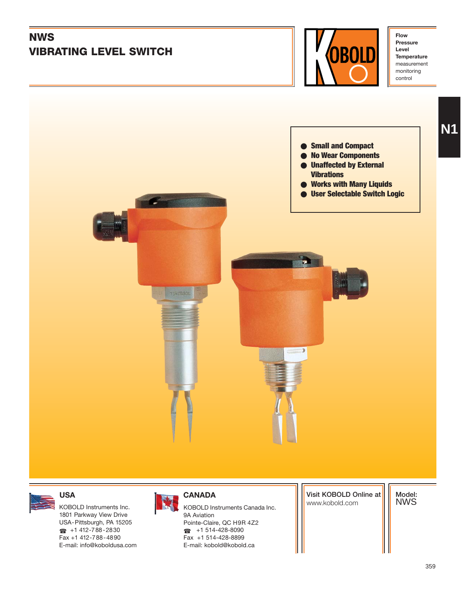

359